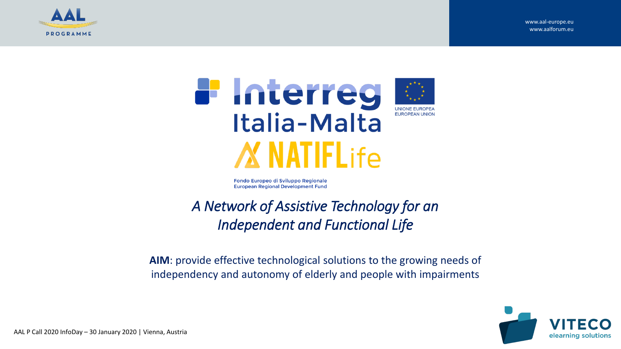





Fondo Europeo di Sviluppo Regionale **European Regional Development Fund** 

### *A Network of Assistive Technology for an Independent and Functional Life*

**AIM**: provide effective technological solutions to the growing needs of independency and autonomy of elderly and people with impairments

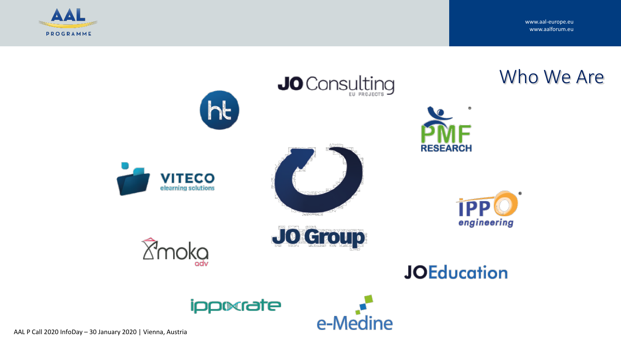

www.aal-europe.eu www.aalforum.eu

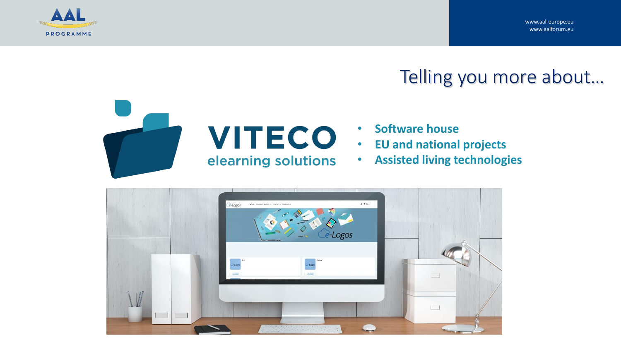www.aal-europe.eu www.aalforum.eu



## Telling you more about…



# elearning solutions

- **Software house**
- **EU and national projects**
- **Assisted living technologies**

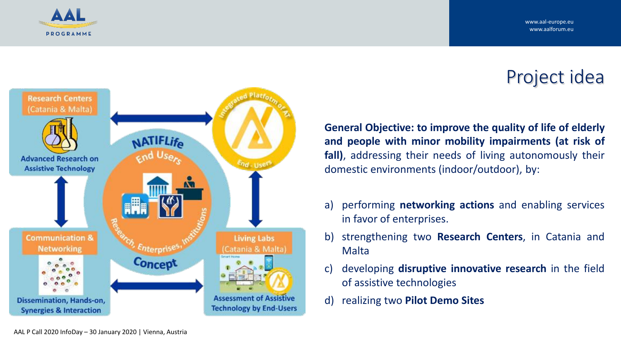

# Project idea

**General Objective: to improve the quality of life of elderly and people with minor mobility impairments (at risk of fall)**, addressing their needs of living autonomously their domestic environments (indoor/outdoor), by:

- a) performing **networking actions** and enabling services in favor of enterprises.
- b) strengthening two **Research Centers**, in Catania and Malta
- c) developing **disruptive innovative research** in the field of assistive technologies
- d) realizing two **Pilot Demo Sites**